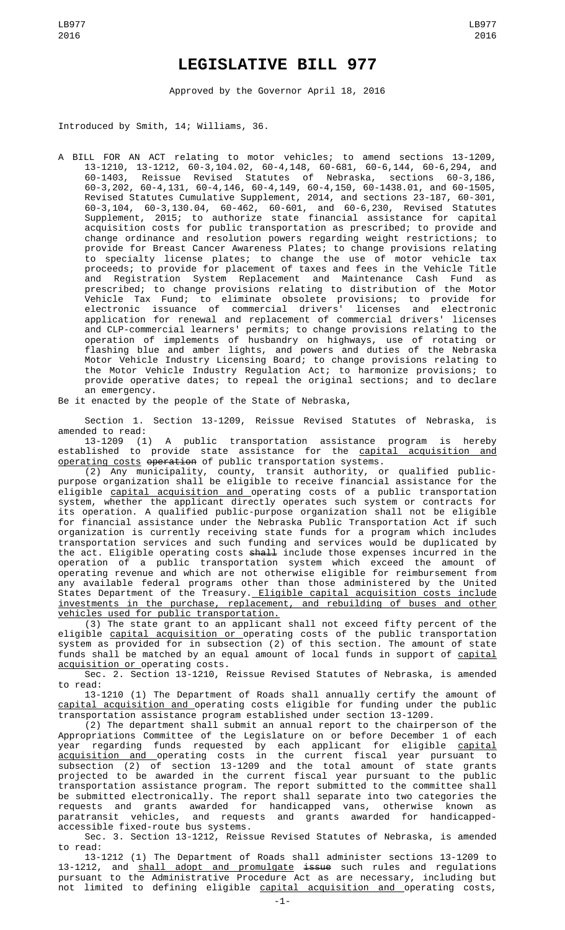## **LEGISLATIVE BILL 977**

Approved by the Governor April 18, 2016

Introduced by Smith, 14; Williams, 36.

A BILL FOR AN ACT relating to motor vehicles; to amend sections 13-1209, 13-1210, 13-1212, 60-3,104.02, 60-4,148, 60-681, 60-6,144, 60-6,294, and 60-1403, Reissue Revised Statutes of Nebraska, sections 60-3,186, 60-3,202, 60-4,131, 60-4,146, 60-4,149, 60-4,150, 60-1438.01, and 60-1505, Revised Statutes Cumulative Supplement, 2014, and sections 23-187, 60-301, 60-3,104, 60-3,130.04, 60-462, 60-601, and 60-6,230, Revised Statutes Supplement, 2015; to authorize state financial assistance for capital acquisition costs for public transportation as prescribed; to provide and change ordinance and resolution powers regarding weight restrictions; to provide for Breast Cancer Awareness Plates; to change provisions relating to specialty license plates; to change the use of motor vehicle tax proceeds; to provide for placement of taxes and fees in the Vehicle Title and Registration System Replacement and Maintenance Cash Fund as prescribed; to change provisions relating to distribution of the Motor Vehicle Tax Fund; to eliminate obsolete provisions; to provide for electronic issuance of commercial drivers' licenses and electronic application for renewal and replacement of commercial drivers' licenses and CLP-commercial learners' permits; to change provisions relating to the operation of implements of husbandry on highways, use of rotating or flashing blue and amber lights, and powers and duties of the Nebraska Motor Vehicle Industry Licensing Board; to change provisions relating to the Motor Vehicle Industry Regulation Act; to harmonize provisions; to provide operative dates; to repeal the original sections; and to declare an emergency.

Be it enacted by the people of the State of Nebraska,

Section 1. Section 13-1209, Reissue Revised Statutes of Nebraska, is amended to read:

13-1209 (1) A public transportation assistance program is hereby established to provide state assistance for the capital acquisition and operating costs operation of public transportation systems.

(2) Any municipality, county, transit authority, or qualified publicpurpose organization shall be eligible to receive financial assistance for the eligible capital acquisition and operating costs of a public transportation system, whether the applicant directly operates such system or contracts for its operation. A qualified public-purpose organization shall not be eligible for financial assistance under the Nebraska Public Transportation Act if such organization is currently receiving state funds for a program which includes transportation services and such funding and services would be duplicated by the act. Eligible operating costs <del>shall</del> include those expenses incurred in the operation of a public transportation system which exceed the amount of operating revenue and which are not otherwise eligible for reimbursement from any available federal programs other than those administered by the United States Department of the Treasury.<u> Eligible capital acquisition costs include</u> investments in the purchase, replacement, and rebuilding of buses and other vehicles used for public transportation.

(3) The state grant to an applicant shall not exceed fifty percent of the eligible capital acquisition or operating costs of the public transportation system as provided for in subsection (2) of this section. The amount of state funds shall be matched by an equal amount of local funds in support of <u>capital</u> acquisition or operating costs.

Sec. 2. Section 13-1210, Reissue Revised Statutes of Nebraska, is amended to read:

13-1210 (1) The Department of Roads shall annually certify the amount of capital acquisition and operating costs eligible for funding under the public transportation assistance program established under section 13-1209.

(2) The department shall submit an annual report to the chairperson of the Appropriations Committee of the Legislature on or before December 1 of each year regarding funds requested by each applicant for eligible <u>capital</u> acquisition and operating costs in the current fiscal year pursuant to subsection (2) of section 13-1209 and the total amount of state grants projected to be awarded in the current fiscal year pursuant to the public transportation assistance program. The report submitted to the committee shall be submitted electronically. The report shall separate into two categories the requests and grants awarded for handicapped vans, otherwise known as paratransit vehicles, and requests and grants awarded for handicappedparatransit vehicles, and reques<br>accessible fixed-route bus systems.

Sec. 3. Section 13-1212, Reissue Revised Statutes of Nebraska, is amended to read:

13-1212 (1) The Department of Roads shall administer sections 13-1209 to 13-1212, and <u>shall adopt and promulgate</u> <del>issue</del> such rules and regulations pursuant to the Administrative Procedure Act as are necessary, including but not limited to defining eligible <u>capital acquisition and </u>operating costs,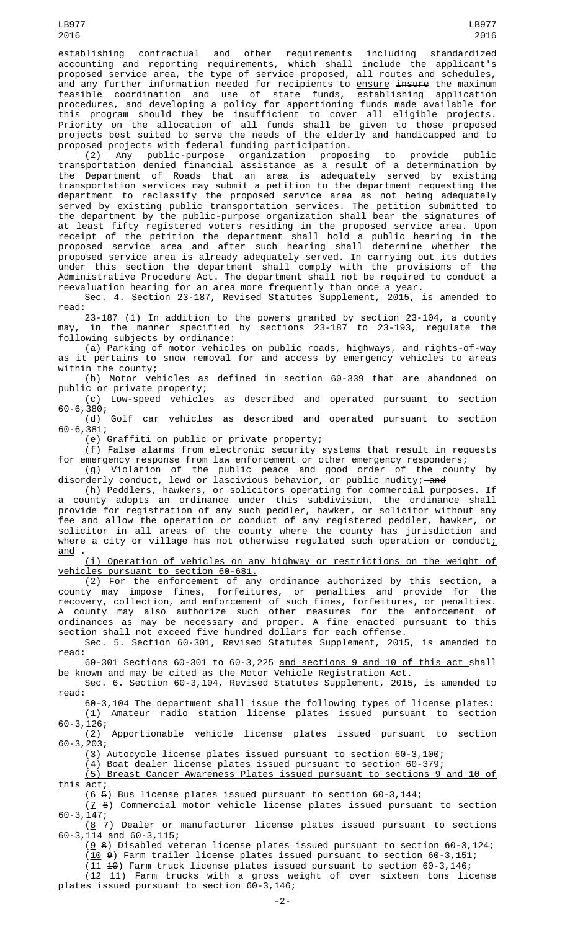establishing contractual and other requirements including standardized accounting and reporting requirements, which shall include the applicant's proposed service area, the type of service proposed, all routes and schedules, and any further information needed for recipients to <u>ensure</u> <del>insure</del> the maximum feasible coordination and use of state funds, establishing application procedures, and developing a policy for apportioning funds made available for this program should they be insufficient to cover all eligible projects. Priority on the allocation of all funds shall be given to those proposed projects best suited to serve the needs of the elderly and handicapped and to proposed projects with federal funding participation.

(2) Any public-purpose organization proposing to provide public transportation denied financial assistance as a result of a determination by the Department of Roads that an area is adequately served by existing transportation services may submit a petition to the department requesting the department to reclassify the proposed service area as not being adequately served by existing public transportation services. The petition submitted to the department by the public-purpose organization shall bear the signatures of at least fifty registered voters residing in the proposed service area. Upon receipt of the petition the department shall hold a public hearing in the proposed service area and after such hearing shall determine whether the proposed service area is already adequately served. In carrying out its duties under this section the department shall comply with the provisions of the Administrative Procedure Act. The department shall not be required to conduct a reevaluation hearing for an area more frequently than once a year.

Sec. 4. Section 23-187, Revised Statutes Supplement, 2015, is amended to read:

23-187 (1) In addition to the powers granted by section 23-104, a county may, in the manner specified by sections 23-187 to 23-193, regulate the following subjects by ordinance:

(a) Parking of motor vehicles on public roads, highways, and rights-of-way as it pertains to snow removal for and access by emergency vehicles to areas within the county;

(b) Motor vehicles as defined in section 60-339 that are abandoned on public or private property;

(c) Low-speed vehicles as described and operated pursuant to section 60-6,380;

(d) Golf car vehicles as described and operated pursuant to section 60-6,381;

(e) Graffiti on public or private property;

(f) False alarms from electronic security systems that result in requests for emergency response from law enforcement or other emergency responders;

(g) Violation of the public peace and good order of the county by disorderly conduct, lewd or lascivious behavior, or public nudity;—<del>and</del>

(h) Peddlers, hawkers, or solicitors operating for commercial purposes. If a county adopts an ordinance under this subdivision, the ordinance shall provide for registration of any such peddler, hawker, or solicitor without any fee and allow the operation or conduct of any registered peddler, hawker, or solicitor in all areas of the county where the county has jurisdiction and where a city or village has not otherwise regulated such operation or conduct;  $and -$ 

(i) Operation of vehicles on any highway or restrictions on the weight of vehicles pursuant to section 60-681.

(2) For the enforcement of any ordinance authorized by this section, a county may impose fines, forfeitures, or penalties and provide for the recovery, collection, and enforcement of such fines, forfeitures, or penalties. A county may also authorize such other measures for the enforcement of ordinances as may be necessary and proper. A fine enacted pursuant to this section shall not exceed five hundred dollars for each offense.

Sec. 5. Section 60-301, Revised Statutes Supplement, 2015, is amended to read:

60-301 Sections 60-301 to 60-3,225 and sections 9 and 10 of this act shall be known and may be cited as the Motor Vehicle Registration Act.

Sec. 6. Section 60-3,104, Revised Statutes Supplement, 2015, is amended to read:

60-3,104 The department shall issue the following types of license plates: (1) Amateur radio station license plates issued pursuant to section 60-3,126;

Apportionable vehicle license plates issued pursuant to section  $(2)$ <br>60-3,203;

(3) Autocycle license plates issued pursuant to section 60-3,100;

(4) Boat dealer license plates issued pursuant to section 60-379;

(5) Breast Cancer Awareness Plates issued pursuant to sections 9 and 10 of this act;

 $(6 5)$  Bus license plates issued pursuant to section 60-3,144;

 $(7, 6)$  Commercial motor vehicle license plates issued pursuant to section 60-3,147;

 $(8 \n4)$  Dealer or manufacturer license plates issued pursuant to sections 60-3,114 and 60-3,115;

( $9$  8) Disabled veteran license plates issued pursuant to section 60-3,124;

 $(10 \theta)$  Farm trailer license plates issued pursuant to section 60-3,151;

 $(11\ 40)$  Farm truck license plates issued pursuant to section 60-3,146; (12 11) Farm trucks with a gross weight of over sixteen tons license

plates issued pursuant to section 60-3,146;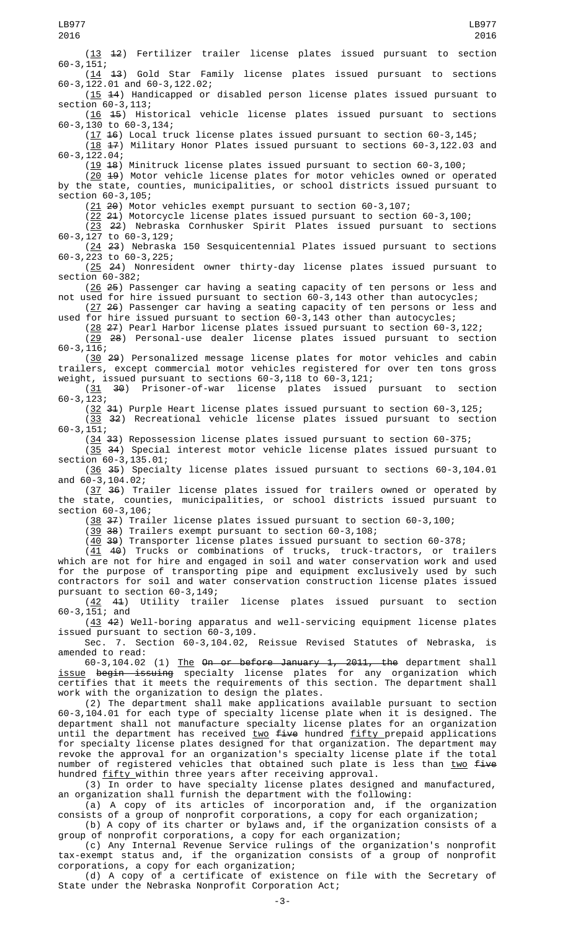(13 12) Fertilizer trailer license plates issued pursuant to section  $60-3, 151;$ <br>( $\frac{14}{1}$ 43) Gold Star Family license plates issued pursuant to sections 60-3,122.01 and 60-3,122.02; (15 14) Handicapped or disabled person license plates issued pursuant to section 60-3,113; (16 15) Historical vehicle license plates issued pursuant to sections 60-3,130 to 60-3,134; (17 16) Local truck license plates issued pursuant to section 60-3,145;  $(18 47)$  Military Honor Plates issued pursuant to sections 60-3,122.03 and 60-3,122.04;  $(19\;18)$  Minitruck license plates issued pursuant to section 60-3,100; (20 19) Motor vehicle license plates for motor vehicles owned or operated by the state, counties, municipalities, or school districts issued pursuant to section 60-3,105; (21 20) Motor vehicles exempt pursuant to section 60-3,107; (22 21) Motorcycle license plates issued pursuant to section 60-3,100;  $(23 \t22)$  Nebraska Cornhusker Spirit Plates issued pursuant to sections 60-3,127 to 60-3,129; (24 23) Nebraska 150 Sesquicentennial Plates issued pursuant to sections 60-3,223 to 60-3,225; (25 24) Nonresident owner thirty-day license plates issued pursuant to section 60-382; (26 25) Passenger car having a seating capacity of ten persons or less and not used for hire issued pursuant to section 60-3,143 other than autocycles; (27 26) Passenger car having a seating capacity of ten persons or less and used for hire issued pursuant to section 60-3,143 other than autocycles; (28 27) Pearl Harbor license plates issued pursuant to section 60-3,122; (29 28) Personal-use dealer license plates issued pursuant to section 60-3,116; (30 29) Personalized message license plates for motor vehicles and cabin trailers, except commercial motor vehicles registered for over ten tons gross weight, issued pursuant to sections 60-3,118 to 60-3,121;  $(31 \t 30)$  Prisoner-of-war license plates issued pursuant to section 60-3,123; (32 31) Purple Heart license plates issued pursuant to section 60-3,125;  $(33 \t32)$  Recreational vehicle license plates issued pursuant to section 60-3,151; (34 33) Repossession license plates issued pursuant to section 60-375;  $(35, 34)$  Special interest motor vehicle license plates issued pursuant to section 60-3,135.01; (36 35) Specialty license plates issued pursuant to sections 60-3,104.01 and 60-3,104.02; (37 36) Trailer license plates issued for trailers owned or operated by the state, counties, municipalities, or school districts issued pursuant to section 60-3,106; (38 37) Trailer license plates issued pursuant to section 60-3,100; (39 38) Trailers exempt pursuant to section 60-3,108;  $(40 \t39)$  Transporter license plates issued pursuant to section 60-378; (41 40) Trucks or combinations of trucks, truck-tractors, or trailers which are not for hire and engaged in soil and water conservation work and used for the purpose of transporting pipe and equipment exclusively used by such contractors for soil and water conservation construction license plates issued pursuant to section 60-3,149; (42 41) Utility trailer license plates issued pursuant to section 60-3,151; and (43 42) Well-boring apparatus and well-servicing equipment license plates issued pursuant to section 60-3,109. Sec. 7. Section 60-3,104.02, Reissue Revised Statutes of Nebraska, is amended to read: 60-3,104.02 (1) The On or before January 1, 2011, the department shall <u>issue</u> <del>begin issuing</del> specialty license plates for any organization which certifies that it meets the requirements of this section. The department shall work with the organization to design the plates. (2) The department shall make applications available pursuant to section 60-3,104.01 for each type of specialty license plate when it is designed. The department shall not manufacture specialty license plates for an organization until the department has received  $\frac{two}{100}$  five hundred fifty prepaid applications for specialty license plates designed for that organization. The department may revoke the approval for an organization's specialty license plate if the total number of registered vehicles that obtained such plate is less than  $two$  five</u> hundred <u>fifty </u>within three years after receiving approval. (3) In order to have specialty license plates designed and manufactured, an organization shall furnish the department with the following: (a) A copy of its articles of incorporation and, if the organization consists of a group of nonprofit corporations, a copy for each organization; (b) A copy of its charter or bylaws and, if the organization consists of a group of nonprofit corporations, a copy for each organization; (c) Any Internal Revenue Service rulings of the organization's nonprofit tax-exempt status and, if the organization consists of a group of nonprofit corporations, a copy for each organization; LB977 2016 LB977 2016

(d) A copy of a certificate of existence on file with the Secretary of State under the Nebraska Nonprofit Corporation Act;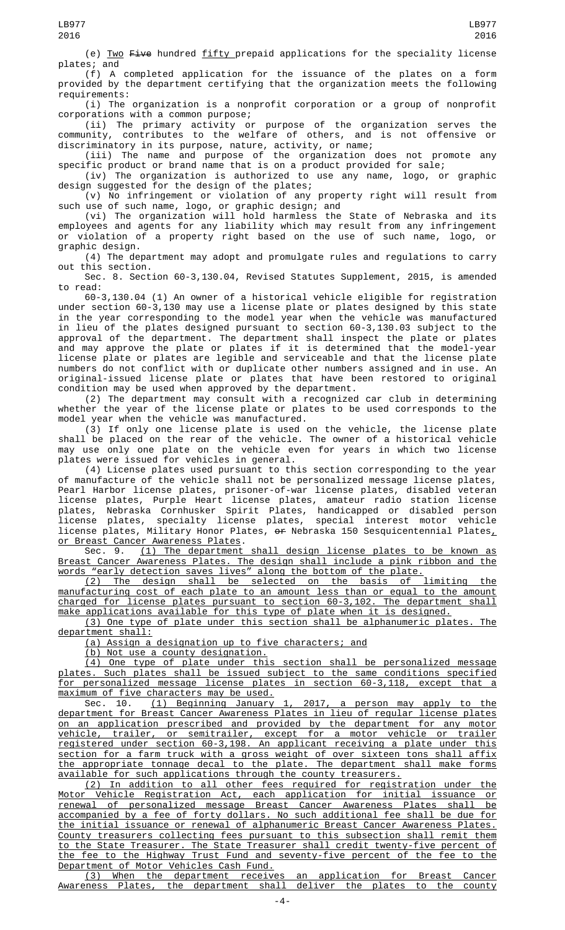(e) Two Five hundred fifty prepaid applications for the speciality license plates; and

(f) A completed application for the issuance of the plates on a form provided by the department certifying that the organization meets the following requirements:

(i) The organization is a nonprofit corporation or a group of nonprofit corporations with a common purpose;

(ii) The primary activity or purpose of the organization serves the community, contributes to the welfare of others, and is not offensive or discriminatory in its purpose, nature, activity, or name;

(iii) The name and purpose of the organization does not promote any specific product or brand name that is on a product provided for sale;

(iv) The organization is authorized to use any name, logo, or graphic design suggested for the design of the plates;

(v) No infringement or violation of any property right will result from such use of such name, logo, or graphic design; and

(vi) The organization will hold harmless the State of Nebraska and its employees and agents for any liability which may result from any infringement or violation of a property right based on the use of such name, logo, or graphic design.

(4) The department may adopt and promulgate rules and regulations to carry out this section.

Sec. 8. Section 60-3,130.04, Revised Statutes Supplement, 2015, is amended to read:

60-3,130.04 (1) An owner of a historical vehicle eligible for registration under section 60-3,130 may use a license plate or plates designed by this state in the year corresponding to the model year when the vehicle was manufactured in lieu of the plates designed pursuant to section 60-3,130.03 subject to the approval of the department. The department shall inspect the plate or plates and may approve the plate or plates if it is determined that the model-year license plate or plates are legible and serviceable and that the license plate numbers do not conflict with or duplicate other numbers assigned and in use. An original-issued license plate or plates that have been restored to original condition may be used when approved by the department.

(2) The department may consult with a recognized car club in determining whether the year of the license plate or plates to be used corresponds to the model year when the vehicle was manufactured.

(3) If only one license plate is used on the vehicle, the license plate shall be placed on the rear of the vehicle. The owner of a historical vehicle may use only one plate on the vehicle even for years in which two license plates were issued for vehicles in general.

(4) License plates used pursuant to this section corresponding to the year of manufacture of the vehicle shall not be personalized message license plates, Pearl Harbor license plates, prisoner-of-war license plates, disabled veteran license plates, Purple Heart license plates, amateur radio station license plates, Nebraska Cornhusker Spirit Plates, handicapped or disabled person license plates, specialty license plates, special interest motor vehicle license plates, Military Honor Plates, <del>or</del> Nebraska 150 Sesquicentennial Plates $_{{\scriptscriptstyle L}}$ or Breast Cancer Awareness Plates.

Sec. 9. (1) The department shall design license plates to be known as Breast Cancer Awareness Plates. The design shall include a pink ribbon and the words "early detection saves lives" along the bottom of the plate.

(2) The design shall be selected on the basis of limiting the manufacturing cost of each plate to an amount less than or equal to the amount charged for license plates pursuant to section 60-3,102. The department shall make applications available for this type of plate when it is designed.

(3) One type of plate under this section shall be alphanumeric plates. The department shall:

(a) Assign a designation up to five characters; and

(b) Not use a county designation.

(4) One type of plate under this section shall be personalized message plates. Such plates shall be issued subject to the same conditions specified for personalized message license plates in section 60-3,118, except that a maximum of five characters may be used.

Sec. 10. (1) Beginning January 1, 2017, a person may apply to the department for Breast Cancer Awareness Plates in lieu of regular license plates on an application prescribed and provided by the department for any motor vehicle, trailer, or semitrailer, except for a motor vehicle or trailer registered under section 60-3,198. An applicant receiving a plate under this section for a farm truck with a gross weight of over sixteen tons shall affix the appropriate tonnage decal to the plate. The department shall make forms available for such applications through the county treasurers.

(2) In addition to all other fees required for registration under the Motor Vehicle Registration Act, each application for initial issuance or renewal of personalized message Breast Cancer Awareness Plates shall be accompanied by a fee of forty dollars. No such additional fee shall be due for the initial issuance or renewal of alphanumeric Breast Cancer Awareness Plates. County treasurers collecting fees pursuant to this subsection shall remit them to the State Treasurer. The State Treasurer shall credit twenty-five percent of the fee to the Highway Trust Fund and seventy-five percent of the fee to the Department of Motor Vehicles Cash Fund.

(3) When the department receives an application for Breast Cancer Awareness Plates, the department shall deliver the plates to the county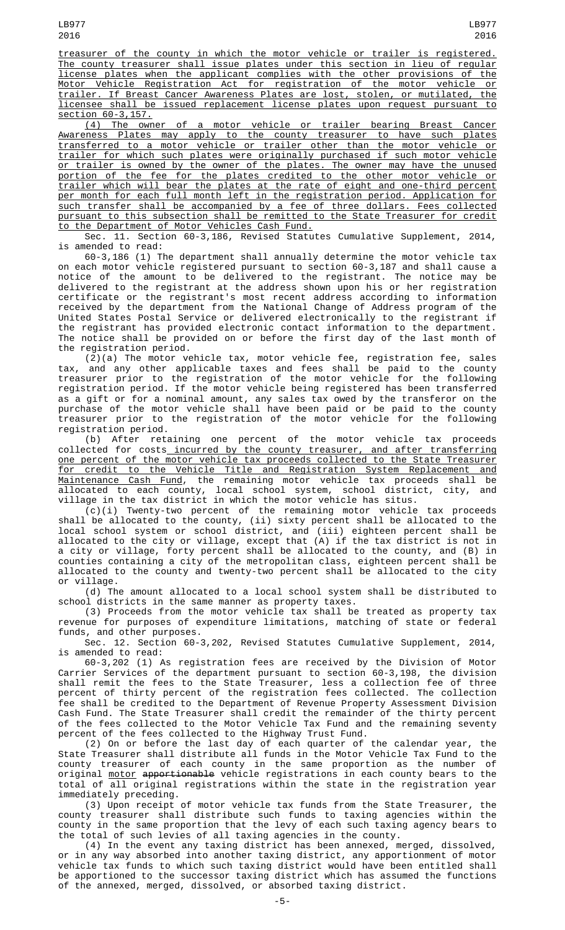treasurer of the county in which the motor vehicle or trailer is registered. The county treasurer shall issue plates under this section in lieu of regular license plates when the applicant complies with the other provisions of the Motor Vehicle Registration Act for registration of the motor vehicle or trailer. If Breast Cancer Awareness Plates are lost, stolen, or mutilated, the licensee shall be issued replacement license plates upon request pursuant to

section 60-3,157. (4) The owner of a motor vehicle or trailer bearing Breast Cancer Awareness Plates may apply to the county treasurer to have such plates transferred to a motor vehicle or trailer other than the motor vehicle or trailer for which such plates were originally purchased if such motor vehicle or trailer is owned by the owner of the plates. The owner may have the unused portion of the fee for the plates credited to the other motor vehicle or trailer which will bear the plates at the rate of eight and one-third percent per month for each full month left in the registration period. Application for such transfer shall be accompanied by a fee of three dollars. Fees collected pursuant to this subsection shall be remitted to the State Treasurer for credit to the Department of Motor Vehicles Cash Fund.

Sec. 11. Section 60-3,186, Revised Statutes Cumulative Supplement, 2014, is amended to read:

60-3,186 (1) The department shall annually determine the motor vehicle tax on each motor vehicle registered pursuant to section 60-3,187 and shall cause a notice of the amount to be delivered to the registrant. The notice may be delivered to the registrant at the address shown upon his or her registration certificate or the registrant's most recent address according to information received by the department from the National Change of Address program of the United States Postal Service or delivered electronically to the registrant if the registrant has provided electronic contact information to the department. The notice shall be provided on or before the first day of the last month of the registration period.

(2)(a) The motor vehicle tax, motor vehicle fee, registration fee, sales tax, and any other applicable taxes and fees shall be paid to the county treasurer prior to the registration of the motor vehicle for the following registration period. If the motor vehicle being registered has been transferred as a gift or for a nominal amount, any sales tax owed by the transferor on the purchase of the motor vehicle shall have been paid or be paid to the county treasurer prior to the registration of the motor vehicle for the following registration period.

(b) After retaining one percent of the motor vehicle tax proceeds collected for costs incurred by the county treasurer, and after transferring one percent of the motor vehicle tax proceeds collected to the State Treasurer for credit to the Vehicle Title and Registration System Replacement and Maintenance Cash Fund, the remaining motor vehicle tax proceeds shall be allocated to each county, local school system, school district, city, and village in the tax district in which the motor vehicle has situs.

(c)(i) Twenty-two percent of the remaining motor vehicle tax proceeds shall be allocated to the county, (ii) sixty percent shall be allocated to the local school system or school district, and (iii) eighteen percent shall be allocated to the city or village, except that (A) if the tax district is not in a city or village, forty percent shall be allocated to the county, and (B) in counties containing a city of the metropolitan class, eighteen percent shall be allocated to the county and twenty-two percent shall be allocated to the city or village.

(d) The amount allocated to a local school system shall be distributed to school districts in the same manner as property taxes.

(3) Proceeds from the motor vehicle tax shall be treated as property tax revenue for purposes of expenditure limitations, matching of state or federal funds, and other purposes.

Sec. 12. Section 60-3,202, Revised Statutes Cumulative Supplement, 2014, is amended to read:

60-3,202 (1) As registration fees are received by the Division of Motor Carrier Services of the department pursuant to section 60-3,198, the division shall remit the fees to the State Treasurer, less a collection fee of three percent of thirty percent of the registration fees collected. The collection fee shall be credited to the Department of Revenue Property Assessment Division Cash Fund. The State Treasurer shall credit the remainder of the thirty percent of the fees collected to the Motor Vehicle Tax Fund and the remaining seventy percent of the fees collected to the Highway Trust Fund.

(2) On or before the last day of each quarter of the calendar year, the State Treasurer shall distribute all funds in the Motor Vehicle Tax Fund to the county treasurer of each county in the same proportion as the number of original <u>motor</u> <del>apportionable</del> vehicle registrations in each county bears to the total of all original registrations within the state in the registration year immediately preceding.

(3) Upon receipt of motor vehicle tax funds from the State Treasurer, the county treasurer shall distribute such funds to taxing agencies within the county in the same proportion that the levy of each such taxing agency bears to the total of such levies of all taxing agencies in the county.

(4) In the event any taxing district has been annexed, merged, dissolved, or in any way absorbed into another taxing district, any apportionment of motor vehicle tax funds to which such taxing district would have been entitled shall be apportioned to the successor taxing district which has assumed the functions of the annexed, merged, dissolved, or absorbed taxing district.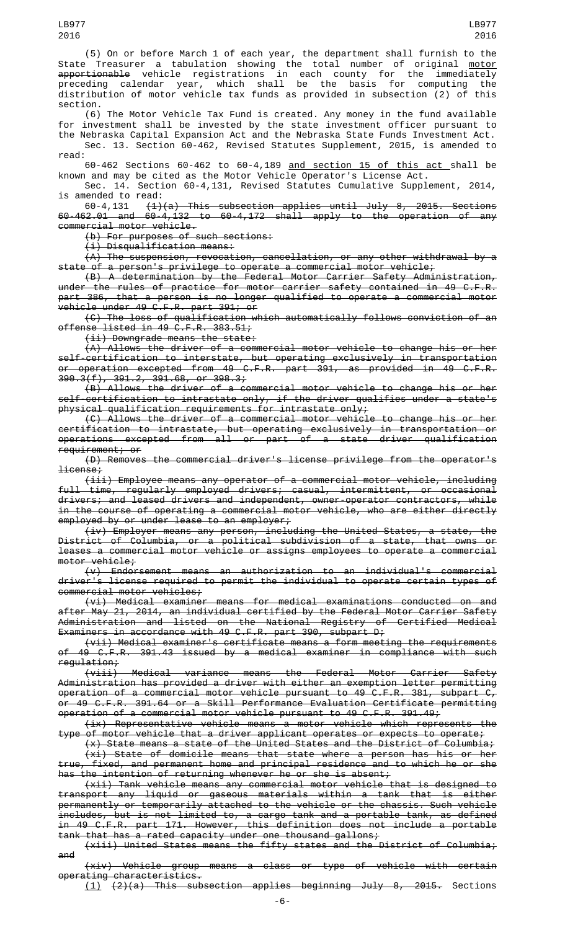(5) On or before March 1 of each year, the department shall furnish to the State Treasurer a tabulation showing the total number of original <u>motor</u> apportionable vehicle registrations in each county for the immediately preceding calendar year, which shall be the basis for computing the distribution of motor vehicle tax funds as provided in subsection (2) of this section.

(6) The Motor Vehicle Tax Fund is created. Any money in the fund available for investment shall be invested by the state investment officer pursuant to the Nebraska Capital Expansion Act and the Nebraska State Funds Investment Act. Sec. 13. Section 60-462, Revised Statutes Supplement, 2015, is amended to

read: 60-462 Sections 60-462 to 60-4,189 and section 15 of this act shall be known and may be cited as the Motor Vehicle Operator's License Act.

Sec. 14. Section 60-4,131, Revised Statutes Cumulative Supplement, 2014,

is amended to read:<br> $60-4,131 \quad (1)$  $(1)(a)$  This subsection applies until July 8, 2015. Sections 60-462.01 and 60-4,132 to 60-4,172 shall apply to the operation of any commercial motor vehicle.

(b) For purposes of such sections:

(i) Disqualification means:

 $(A)$  The suspension, revocation, cancellation, or any other withdrawal by a state of a person's privilege to operate a commercial motor vehicle;

(B) A determination by the Federal Motor Carrier Safety Administration, under the rules of practice for motor carrier safety contained in 49 C.F.R. part 386, that a person is no longer qualified to operate a commercial motor vehicle under 49 C.F.R. part 391; or

(C) The loss of qualification which automatically follows conviction of an offense listed in 49 C.F.R. 383.51;

(ii) Downgrade means the state:

(A) Allows the driver of a commercial motor vehicle to change his or her self-certification to interstate, but operating exclusively in transportation or operation excepted from 49 C.F.R. part 391, as provided in 49 C.F.R. 390.3(f), 391.2, 391.68, or 398.3;

 $(B)$  Allows the driver of a commercial motor vehicle to change his or her self-certification to intrastate only, if the driver qualifies under a state's physical qualification requirements for intrastate only;

(C) Allows the driver of a commercial motor vehicle to change his or her certification to intrastate, but operating exclusively in transportation or operations excepted from all or part of a state driver qualification requirement; or

(D) Removes the commercial driver's license privilege from the operator's license;

(iii) Employee means any operator of a commercial motor vehicle, including full time, regularly employed drivers; casual, intermittent, or occasional drivers; and leased drivers and independent, owner-operator contractors, while in the course of operating a commercial motor vehicle, who are either directly employed by or under lease to an employer;

(iv) Employer means any person, including the United States, a state, the District of Columbia, or a political subdivision of a state, that owns or leases a commercial motor vehicle or assigns employees to operate a commercial motor vehicle;

(v) Endorsement means an authorization to an individual's commercial driver's license required to permit the individual to operate certain types of commercial motor vehicles;

(vi) Medical examiner means for medical examinations conducted on and after May 21, 2014, an individual certified by the Federal Motor Carrier Safety Administration and listed on the National Registry of Certified Medical Examiners in accordance with 49 C.F.R. part 390, subpart D;

(vii) Medical examiner's certificate means a form meeting the requirements of 49 C.F.R. 391.43 issued by a medical examiner in compliance with such regulation;

(viii) Medical variance means the Federal Motor Carrier Safety Administration has provided a driver with either an exemption letter permitting operation of a commercial motor vehicle pursuant to 49 C.F.R. 381, subpart  $C<sub>r</sub>$ or 49 C.F.R. 391.64 or a Skill Performance Evaluation Certificate permitting operation of a commercial motor vehicle pursuant to 49 C.F.R. 391.49;

(ix) Representative vehicle means a motor vehicle which represents the type of motor vehicle that a driver applicant operates or expects to operate;

(x) State means a state of the United States and the District of Columbia; (xi) State of domicile means that state where a person has his or her

true, fixed, and permanent home and principal residence and to which he or she the intention of returning whenever he or she is absent;

(xii) Tank vehicle means any commercial motor vehicle that is designed to transport any liquid or gaseous materials within a tank that is either permanently or temporarily attached to the vehicle or the chassis. Such vehicle includes, but is not limited to, a cargo tank and a portable tank, as defined in 49 C.F.R. part 171. However, this definition does not include a portable tank that has a rated capacity under one thousand gallons;

(xiii) United States means the fifty states and the District of Columbia; and

(xiv) Vehicle group means a class or type of vehicle with certain operating characteristics.

(1) (2)(a) This subsection applies beginning July 8, 2015. Sections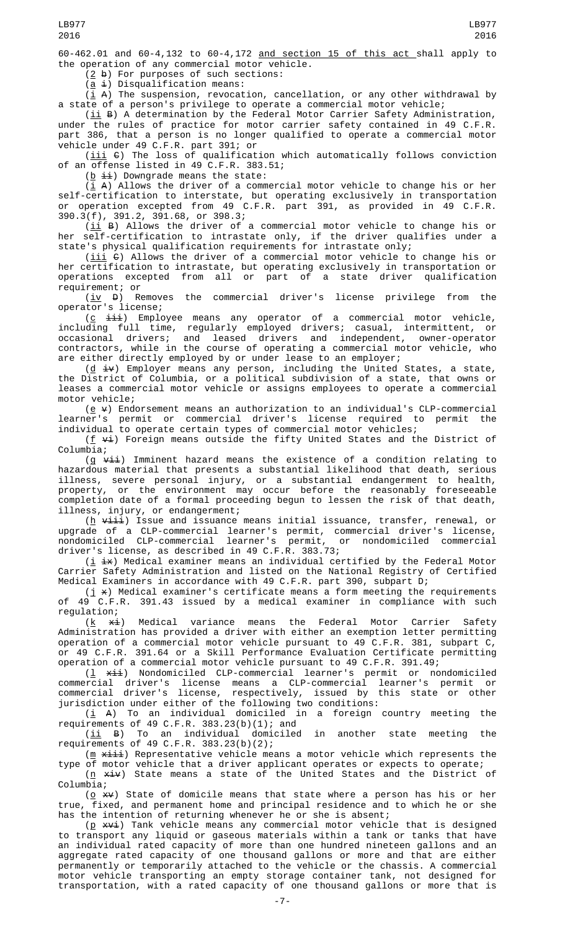60-462.01 and 60-4,132 to 60-4,172 and section 15 of this act shall apply to the operation of any commercial motor vehicle.

 $(2 b)$  For purposes of such sections:

 $(a \pm)$  Disqualification means:

( $\underline{i}$  A) The suspension, revocation, cancellation, or any other withdrawal by a state of a person's privilege to operate a commercial motor vehicle;

 $(iii B)$  A determination by the Federal Motor Carrier Safety Administration, under the rules of practice for motor carrier safety contained in 49 C.F.R. part 386, that a person is no longer qualified to operate a commercial motor vehicle under 49 C.F.R. part 391; or

 $(iii)$   $\theta$ ) The loss of qualification which automatically follows conviction of an offense listed in 49 C.F.R. 383.51;

 $(\underline{b} \pm i)$  Downgrade means the state:

 $(i_A)$  Allows the driver of a commercial motor vehicle to change his or her self-certification to interstate, but operating exclusively in transportation or operation excepted from 49 C.F.R. part 391, as provided in 49 C.F.R. 390.3(f), 391.2, 391.68, or 398.3;

 $(ii B)$  Allows the driver of a commercial motor vehicle to change his or her self-certification to intrastate only, if the driver qualifies under a state's physical qualification requirements for intrastate only;

 $(iii)$  C) Allows the driver of a commercial motor vehicle to change his or her certification to intrastate, but operating exclusively in transportation or operations excepted from all or part of a state driver qualification requirement; or

 $(iy \theta)$  Removes the commercial driver's license privilege from operator's license;

 $(c \pm i\pm i)$  Employee means any operator of a commercial motor vehicle, including full time, regularly employed drivers; casual, intermittent, or occasional drivers; and leased drivers and independent, owner-operator contractors, while in the course of operating a commercial motor vehicle, who are either directly employed by or under lease to an employer;

 $(d \pm v)$  Employer means any person, including the United States, a state, the District of Columbia, or a political subdivision of a state, that owns or leases a commercial motor vehicle or assigns employees to operate a commercial motor vehicle;

( $\underline{e}$   $\overline{v}$ ) Endorsement means an authorization to an individual's CLP-commercial learner's permit or commercial driver's license required to permit the individual to operate certain types of commercial motor vehicles;

(<u>f</u>  $\forall$ **i**) Foreign means outside the fifty United States and the District of Columbia;

(g <del>vii</del>) Imminent hazard means the existence of a condition relating to hazardous material that presents a substantial likelihood that death, serious illness, severe personal injury, or a substantial endangerment to health, property, or the environment may occur before the reasonably foreseeable completion date of a formal proceeding begun to lessen the risk of that death, illness, injury, or endangerment;

(<u>h</u> <del>viii</del>) Issue and issuance means initial issuance, transfer, renewal, or upgrade of a CLP-commercial learner's permit, commercial driver's license, nondomiciled CLP-commercial learner's permit, or nondomiciled commercial driver's license, as described in 49 C.F.R. 383.73;

(i ix) Medical examiner means an individual certified by the Federal Motor Carrier Safety Administration and listed on the National Registry of Certified Medical Examiners in accordance with 49 C.F.R. part 390, subpart D;

(j  $\times$ ) Medical examiner's certificate means a form meeting the requirements of 49 C.F.R. 391.43 issued by a medical examiner in compliance with such

regulation;<br> $(\underline{k} \quad \underline{\star} \underline{i})$ Medical variance means the Federal Motor Carrier Safety Administration has provided a driver with either an exemption letter permitting operation of a commercial motor vehicle pursuant to 49 C.F.R. 381, subpart C, or 49 C.F.R. 391.64 or a Skill Performance Evaluation Certificate permitting operation of a commercial motor vehicle pursuant to 49 C.F.R. 391.49;

(<u>l</u> <del>xii</del>) Nondomiciled CLP-commercial learner's permit or nondomiciled commercial driver's license means a CLP-commercial learner's permit or commercial driver's license, respectively, issued by this state or other jurisdiction under either of the following two conditions:

 $(\underline{i}$  A) To an individual domiciled in a foreign country meeting the requirements of 49 C.F.R. 383.23(b)(1); and

(ii B) To an individual domiciled in another state meeting the requirements of 49 C.F.R. 383.23(b)(2);

 $(m \times i)$  Representative vehicle means a motor vehicle which represents the type of motor vehicle that a driver applicant operates or expects to operate;

 $(n \times i\nu)$  State means a state of the United States and the District of Columbia;

 $(\underline{o} \times v)$  State of domicile means that state where a person has his or her true, fixed, and permanent home and principal residence and to which he or she has the intention of returning whenever he or she is absent;

 $(p \times v_i)$  Tank vehicle means any commercial motor vehicle that is designed to transport any liquid or gaseous materials within a tank or tanks that have an individual rated capacity of more than one hundred nineteen gallons and an aggregate rated capacity of one thousand gallons or more and that are either permanently or temporarily attached to the vehicle or the chassis. A commercial motor vehicle transporting an empty storage container tank, not designed for transportation, with a rated capacity of one thousand gallons or more that is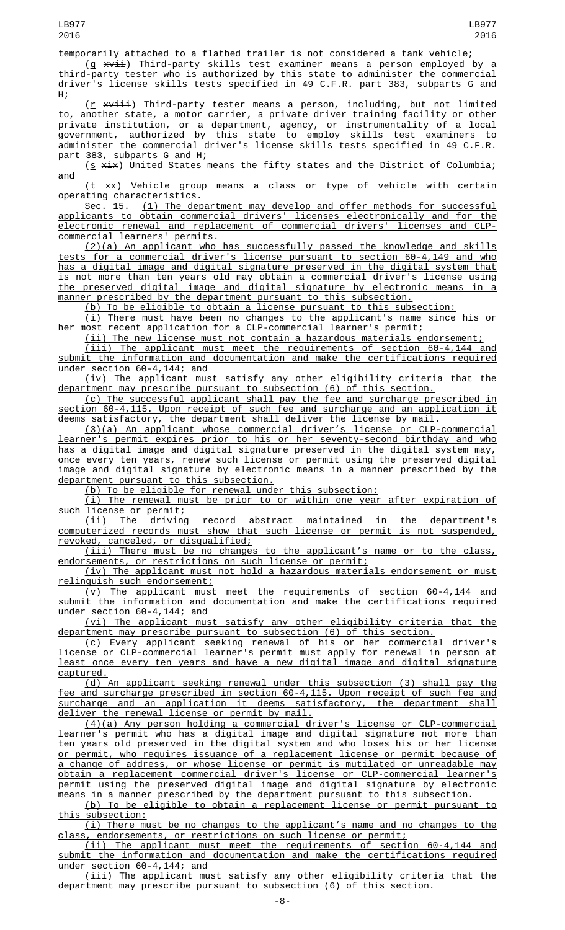temporarily attached to a flatbed trailer is not considered a tank vehicle; (g <del>xvii</del>) Third-party skills test examiner means a person employed by a third-party tester who is authorized by this state to administer the commercial

driver's license skills tests specified in 49 C.F.R. part 383, subparts G and H; (<u>r</u> <del>xviii</del>) Third-party tester means a person, including, but not limited to, another state, a motor carrier, a private driver training facility or other private institution, or a department, agency, or instrumentality of a local government, authorized by this state to employ skills test examiners to administer the commercial driver's license skills tests specified in 49 C.F.R.

part 383, subparts G and H; ( $\underline{s}$   $\xi$ ) United States means the fifty states and the District of Columbia; and

 $(\underline{t}$   $**)$  Vehicle group means a class or type of vehicle with certain operating characteristics.<br>Sec. 15. (1) The dep

 $(1)$  The department may develop and offer methods for successful applicants to obtain commercial drivers' licenses electronically and for the electronic renewal and replacement of commercial drivers' licenses and CLPcommercial learners' permits.

(2)(a) An applicant who has successfully passed the knowledge and skills tests for a commercial driver's license pursuant to section 60-4,149 and who has a digital image and digital signature preserved in the digital system that is not more than ten years old may obtain a commercial driver's license using the preserved digital image and digital signature by electronic means in a manner prescribed by the department pursuant to this subsection.

(b) To be eligible to obtain a license pursuant to this subsection:

(i) There must have been no changes to the applicant's name since his or her most recent application for a CLP-commercial learner's permit;

(ii) The new license must not contain a hazardous materials endorsement;

(iii) The applicant must meet the requirements of section 60-4,144 and submit the information and documentation and make the certifications required under section 60-4,144; and

(iv) The applicant must satisfy any other eligibility criteria that the department may prescribe pursuant to subsection (6) of this section.

(c) The successful applicant shall pay the fee and surcharge prescribed in section 60-4,115. Upon receipt of such fee and surcharge and an application it deems satisfactory, the department shall deliver the license by mail.

(3)(a) An applicant whose commercial driver's license or CLP-commercial learner's permit expires prior to his or her seventy-second birthday and who has a digital image and digital signature preserved in the digital system may, once every ten years, renew such license or permit using the preserved digital image and digital signature by electronic means in a manner prescribed by the department pursuant to this subsection.

(b) To be eligible for renewal under this subsection:

(i) The renewal must be prior to or within one year after expiration of such license or permit;

(ii) The driving record abstract maintained in the department's computerized records must show that such license or permit is not suspended, revoked, canceled, or disqualified;

(iii) There must be no changes to the applicant's name or to the class, endorsements, or restrictions on such license or permit;

(iv) The applicant must not hold a hazardous materials endorsement or must relinquish such endorsement;

 $(v)$  The applicant must meet the requirements of section 60-4,144 submit the information and documentation and make the certifications required under section 60-4,144; and

(vi) The applicant must satisfy any other eligibility criteria that the department may prescribe pursuant to subsection (6) of this section.

(c) Every applicant seeking renewal of his or her commercial driver's license or CLP-commercial learner's permit must apply for renewal in person at least once every ten years and have a new digital image and digital signature captured.

(d) An applicant seeking renewal under this subsection (3) shall pay the fee and surcharge prescribed in section 60-4,115. Upon receipt of such fee and surcharge and an application it deems satisfactory, the department shall deliver the renewal license or permit by mail.

(4)(a) Any person holding a commercial driver's license or CLP-commercial learner's permit who has a digital image and digital signature not more than ten years old preserved in the digital system and who loses his or her license or permit, who requires issuance of a replacement license or permit because of a change of address, or whose license or permit is mutilated or unreadable may obtain a replacement commercial driver's license or CLP-commercial learner's permit using the preserved digital image and digital signature by electronic means in a manner prescribed by the department pursuant to this subsection.

(b) To be eligible to obtain a replacement license or permit pursuant to this subsection:

(i) There must be no changes to the applicant's name and no changes to the class, endorsements, or restrictions on such license or permit;

(ii) The applicant must meet the requirements of section 60-4,144 and submit the information and documentation and make the certifications required under section 60-4,144; and

(iii) The applicant must satisfy any other eligibility criteria that the department may prescribe pursuant to subsection (6) of this section.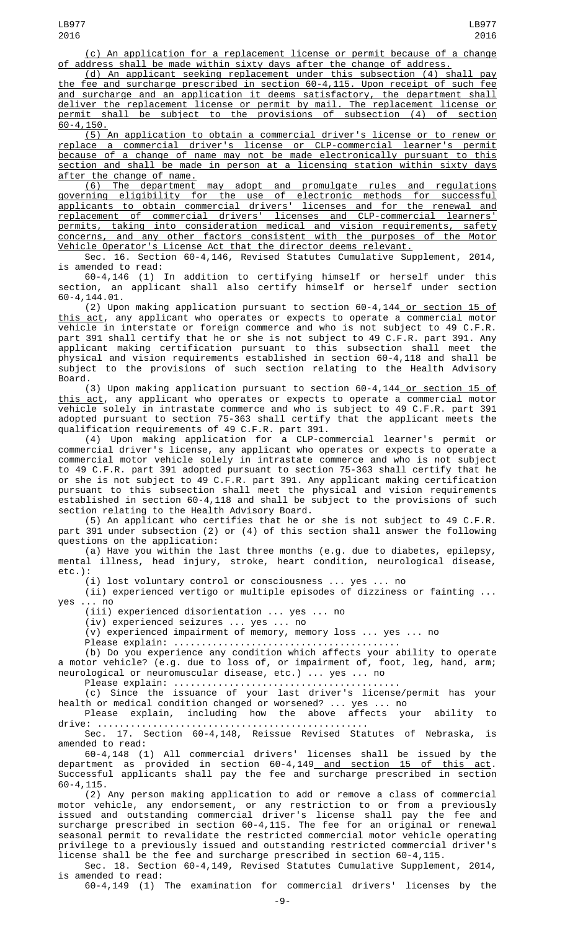(c) An application for a replacement license or permit because of a change of address shall be made within sixty days after the change of address.

(d) An applicant seeking replacement under this subsection (4) shall pay the fee and surcharge prescribed in section 60-4,115. Upon receipt of such fee and surcharge and an application it deems satisfactory, the department shall deliver the replacement license or permit by mail. The replacement license or permit shall be subject to the provisions of subsection (4) of section  $60 - 4,150.$ 

(5) An application to obtain a commercial driver's license or to renew or replace a commercial driver's license or CLP-commercial learner's permit because of a change of name may not be made electronically pursuant to this section and shall be made in person at a licensing station within sixty days after the change of name.

(6) The department may adopt and promulgate rules and regulations governing eligibility for the use of electronic methods for successful applicants to obtain commercial drivers' licenses and for the renewal and replacement of commercial drivers' licenses and CLP-commercial learners' permits, taking into consideration medical and vision requirements, safety concerns, and any other factors consistent with the purposes of the Motor Vehicle Operator's License Act that the director deems relevant.

Sec. 16. Section 60-4,146, Revised Statutes Cumulative Supplement, 2014, is amended to read:

60-4,146 (1) In addition to certifying himself or herself under this section, an applicant shall also certify himself or herself under section 60-4,144.01.

(2) Upon making application pursuant to section 60-4,144 or section 15 of <u>this act</u>, any applicant who operates or expects to operate a commercial motor vehicle in interstate or foreign commerce and who is not subject to 49 C.F.R. part 391 shall certify that he or she is not subject to 49 C.F.R. part 391. Any applicant making certification pursuant to this subsection shall meet the physical and vision requirements established in section 60-4,118 and shall be subject to the provisions of such section relating to the Health Advisory Board.

(3) Upon making application pursuant to section 60-4,144 or section 15 of this act, any applicant who operates or expects to operate a commercial motor vehicle solely in intrastate commerce and who is subject to 49 C.F.R. part 391 adopted pursuant to section 75-363 shall certify that the applicant meets the qualification requirements of 49 C.F.R. part 391.

(4) Upon making application for a CLP-commercial learner's permit or commercial driver's license, any applicant who operates or expects to operate a commercial motor vehicle solely in intrastate commerce and who is not subject to 49 C.F.R. part 391 adopted pursuant to section 75-363 shall certify that he or she is not subject to 49 C.F.R. part 391. Any applicant making certification pursuant to this subsection shall meet the physical and vision requirements established in section 60-4,118 and shall be subject to the provisions of such section relating to the Health Advisory Board.

(5) An applicant who certifies that he or she is not subject to 49 C.F.R. part 391 under subsection (2) or (4) of this section shall answer the following questions on the application:

(a) Have you within the last three months (e.g. due to diabetes, epilepsy, mental illness, head injury, stroke, heart condition, neurological disease, etc.):

(i) lost voluntary control or consciousness ... yes ... no (ii) experienced vertigo or multiple episodes of dizziness or fainting ...

yes ... no

(iii) experienced disorientation ... yes ... no

(iv) experienced seizures ... yes ... no

(v) experienced impairment of memory, memory loss ... yes ... no

Please explain: ......................................... (b) Do you experience any condition which affects your ability to operate a motor vehicle? (e.g. due to loss of, or impairment of, foot, leg, hand, arm; neurological or neuromuscular disease, etc.) ... yes ... no

Please explain: .........................................

(c) Since the issuance of your last driver's license/permit has your health or medical condition changed or worsened? ... yes ... no

Please explain, including how the above affects your ability to drive: .................................................

Sec. 17. Section 60-4,148, Reissue Revised Statutes of Nebraska, is amended to read:

60-4,148 (1) All commercial drivers' licenses shall be issued by the department as provided in section 60-4,149<u> and section 15 of this act</u>. Successful applicants shall pay the fee and surcharge prescribed in section 60-4,115.

(2) Any person making application to add or remove a class of commercial motor vehicle, any endorsement, or any restriction to or from a previously issued and outstanding commercial driver's license shall pay the fee and surcharge prescribed in section 60-4,115. The fee for an original or renewal seasonal permit to revalidate the restricted commercial motor vehicle operating privilege to a previously issued and outstanding restricted commercial driver's license shall be the fee and surcharge prescribed in section 60-4,115.

Sec. 18. Section 60-4,149, Revised Statutes Cumulative Supplement, 2014, is amended to read:

60-4,149 (1) The examination for commercial drivers' licenses by the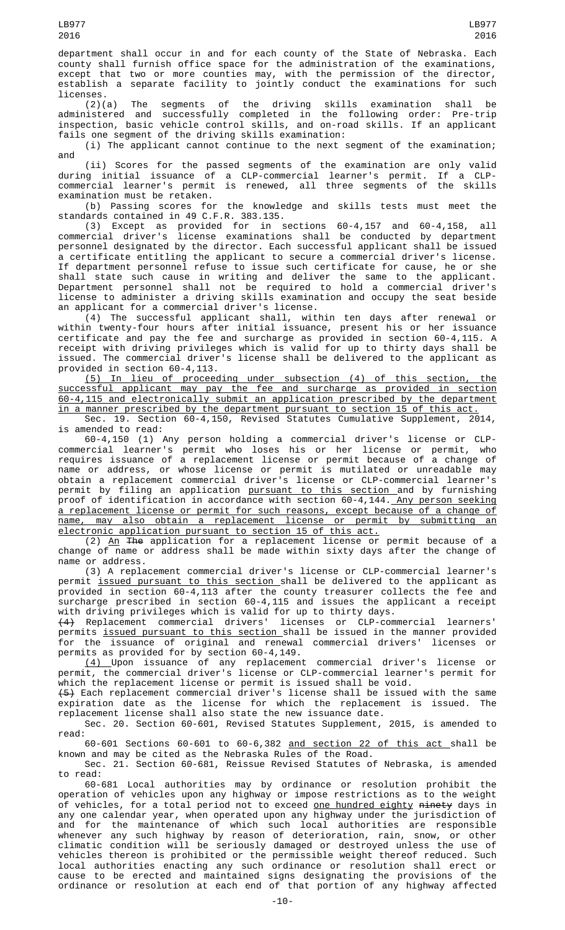department shall occur in and for each county of the State of Nebraska. Each county shall furnish office space for the administration of the examinations, except that two or more counties may, with the permission of the director, establish a separate facility to jointly conduct the examinations for such licenses.

(2)(a) The segments of the driving skills examination shall be administered and successfully completed in the following order: Pre-trip inspection, basic vehicle control skills, and on-road skills. If an applicant fails one segment of the driving skills examination:

(i) The applicant cannot continue to the next segment of the examination; and

(ii) Scores for the passed segments of the examination are only valid during initial issuance of a CLP-commercial learner's permit. If a CLPcommercial learner's permit is renewed, all three segments of the skills examination must be retaken.

(b) Passing scores for the knowledge and skills tests must meet the standards contained in 49 C.F.R. 383.135.

(3) Except as provided for in sections 60-4,157 and 60-4,158, all commercial driver's license examinations shall be conducted by department personnel designated by the director. Each successful applicant shall be issued a certificate entitling the applicant to secure a commercial driver's license. If department personnel refuse to issue such certificate for cause, he or she shall state such cause in writing and deliver the same to the applicant. Department personnel shall not be required to hold a commercial driver's license to administer a driving skills examination and occupy the seat beside an applicant for a commercial driver's license.

(4) The successful applicant shall, within ten days after renewal or within twenty-four hours after initial issuance, present his or her issuance certificate and pay the fee and surcharge as provided in section 60-4,115. A receipt with driving privileges which is valid for up to thirty days shall be issued. The commercial driver's license shall be delivered to the applicant as provided in section 60-4,113.

(5) In lieu of proceeding under subsection (4) of this section, the successful applicant may pay the fee and surcharge as provided in section 60-4,115 and electronically submit an application prescribed by the department in a manner prescribed by the department pursuant to section 15 of this act. Sec. 19. Section 60-4,150, Revised Statutes Cumulative Supplement, 2014,

is amended to read:

60-4,150 (1) Any person holding a commercial driver's license or CLPcommercial learner's permit who loses his or her license or permit, who requires issuance of a replacement license or permit because of a change of name or address, or whose license or permit is mutilated or unreadable may obtain a replacement commercial driver's license or CLP-commercial learner's permit by filing an application <u>pursuant to this section </u>and by furnishing proof of identification in accordance with section 60-4,144.\_<u>Any person seeking</u> a replacement license or permit for such reasons, except because of a change of name, may also obtain a replacement license or permit by submitting an electronic application pursuant to section 15 of this act.

(2) An The application for a replacement license or permit because of a change of name or address shall be made within sixty days after the change of name or address.

(3) A replacement commercial driver's license or CLP-commercial learner's permit <u>issued pursuant to this section s</u>hall be delivered to the applicant as provided in section 60-4,113 after the county treasurer collects the fee and surcharge prescribed in section 60-4,115 and issues the applicant a receipt with driving privileges which is valid for up to thirty days.

(4) Replacement commercial drivers' licenses or CLP-commercial learners' permits <u>issued pursuant to this section shall</u> be issued in the manner provided for the issuance of original and renewal commercial drivers' licenses or permits as provided for by section 60-4,149.

(4) Upon issuance of any replacement commercial driver's license or permit, the commercial driver's license or CLP-commercial learner's permit for which the replacement license or permit is issued shall be void.

(5) Each replacement commercial driver's license shall be issued with the same expiration date as the license for which the replacement is issued. The replacement license shall also state the new issuance date.

Sec. 20. Section 60-601, Revised Statutes Supplement, 2015, is amended to read:

60-601 Sections 60-601 to 60-6,382 and section 22 of this act shall be known and may be cited as the Nebraska Rules of the Road.

Sec. 21. Section 60-681, Reissue Revised Statutes of Nebraska, is amended to read:

60-681 Local authorities may by ordinance or resolution prohibit the operation of vehicles upon any highway or impose restrictions as to the weight of vehicles, for a total period not to exceed <u>one hundred eighty</u> <del>ninety</del> days in any one calendar year, when operated upon any highway under the jurisdiction of and for the maintenance of which such local authorities are responsible whenever any such highway by reason of deterioration, rain, snow, or other climatic condition will be seriously damaged or destroyed unless the use of vehicles thereon is prohibited or the permissible weight thereof reduced. Such local authorities enacting any such ordinance or resolution shall erect or cause to be erected and maintained signs designating the provisions of the ordinance or resolution at each end of that portion of any highway affected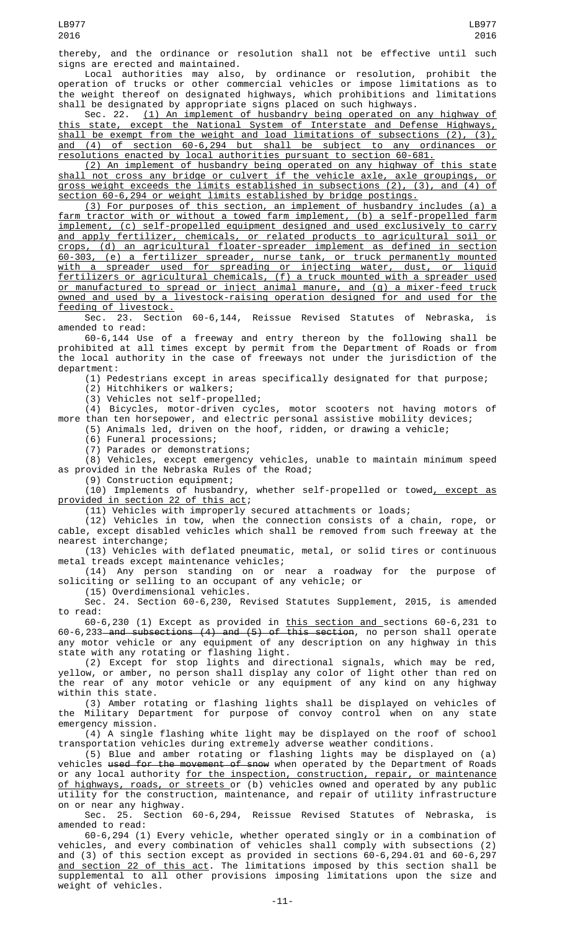thereby, and the ordinance or resolution shall not be effective until such

signs are erected and maintained. Local authorities may also, by ordinance or resolution, prohibit the operation of trucks or other commercial vehicles or impose limitations as to the weight thereof on designated highways, which prohibitions and limitations shall be designated by appropriate signs placed on such highways.

Sec. 22. (1) An implement of husbandry being operated on any highway of this state, except the National System of Interstate and Defense Highways, shall be exempt from the weight and load limitations of subsections (2), (3), and (4) of section 60-6,294 but shall be subject to any ordinances or resolutions enacted by local authorities pursuant to section 60-681.

(2) An implement of husbandry being operated on any highway of this state shall not cross any bridge or culvert if the vehicle axle, axle groupings, or gross weight exceeds the limits established in subsections (2), (3), and (4) of section 60-6,294 or weight limits established by bridge postings.

(3) For purposes of this section, an implement of husbandry includes (a) a farm tractor with or without a towed farm implement, (b) a self-propelled farm implement, (c) self-propelled equipment designed and used exclusively to carry and apply fertilizer, chemicals, or related products to agricultural soil or crops, (d) an agricultural floater-spreader implement as defined in section 60-303, (e) a fertilizer spreader, nurse tank, or truck permanently mounted with a spreader used for spreading or injecting water, dust, or liquid fertilizers or agricultural chemicals, (f) a truck mounted with a spreader used or manufactured to spread or inject animal manure, and (g) a mixer-feed truck owned and used by a livestock-raising operation designed for and used for the feeding of livestock.

Sec. 23. Section 60-6,144, Reissue Revised Statutes of Nebraska, is amended to read:

60-6,144 Use of a freeway and entry thereon by the following shall be prohibited at all times except by permit from the Department of Roads or from the local authority in the case of freeways not under the jurisdiction of the department:

(1) Pedestrians except in areas specifically designated for that purpose;

(2) Hitchhikers or walkers;

(3) Vehicles not self-propelled;

(4) Bicycles, motor-driven cycles, motor scooters not having motors of more than ten horsepower, and electric personal assistive mobility devices;

(5) Animals led, driven on the hoof, ridden, or drawing a vehicle;

(6) Funeral processions;

(7) Parades or demonstrations;

(8) Vehicles, except emergency vehicles, unable to maintain minimum speed as provided in the Nebraska Rules of the Road;

(9) Construction equipment;

(10) Implements of husbandry, whether self-propelled or towed, except as provided in section 22 of this act;

(11) Vehicles with improperly secured attachments or loads;

(12) Vehicles in tow, when the connection consists of a chain, rope, or cable, except disabled vehicles which shall be removed from such freeway at the nearest interchange;

(13) Vehicles with deflated pneumatic, metal, or solid tires or continuous metal treads except maintenance vehicles;

(14) Any person standing on or near a roadway for the purpose of soliciting or selling to an occupant of any vehicle; or

(15) Overdimensional vehicles.

Sec. 24. Section 60-6,230, Revised Statutes Supplement, 2015, is amended to read:

60-6,230 (1) Except as provided in this section and sections 60-6,231 to 60-6,233<del> and subsections (4) and (5) of this section</del>, no person shall operate any motor vehicle or any equipment of any description on any highway in this state with any rotating or flashing light.

(2) Except for stop lights and directional signals, which may be red, yellow, or amber, no person shall display any color of light other than red on the rear of any motor vehicle or any equipment of any kind on any highway within this state.

(3) Amber rotating or flashing lights shall be displayed on vehicles of the Military Department for purpose of convoy control when on any state emergency mission.

(4) A single flashing white light may be displayed on the roof of school transportation vehicles during extremely adverse weather conditions.

(5) Blue and amber rotating or flashing lights may be displayed on (a) vehicles <del>used for the movement of snow</del> when operated by the Department of Roads or any local authority <u>for the inspection, construction, repair, or maintenance</u> <u>of highways, roads, or streets </u>or (b) vehicles owned and operated by any public utility for the construction, maintenance, and repair of utility infrastructure on or near any highway.

Sec. 25. Section 60-6,294, Reissue Revised Statutes of Nebraska, amended to read:

60-6,294 (1) Every vehicle, whether operated singly or in a combination of vehicles, and every combination of vehicles shall comply with subsections (2) and (3) of this section except as provided in sections 60-6,294.01 and 60-6,297 and section 22 of this act. The limitations imposed by this section shall be supplemental to all other provisions imposing limitations upon the size and weight of vehicles.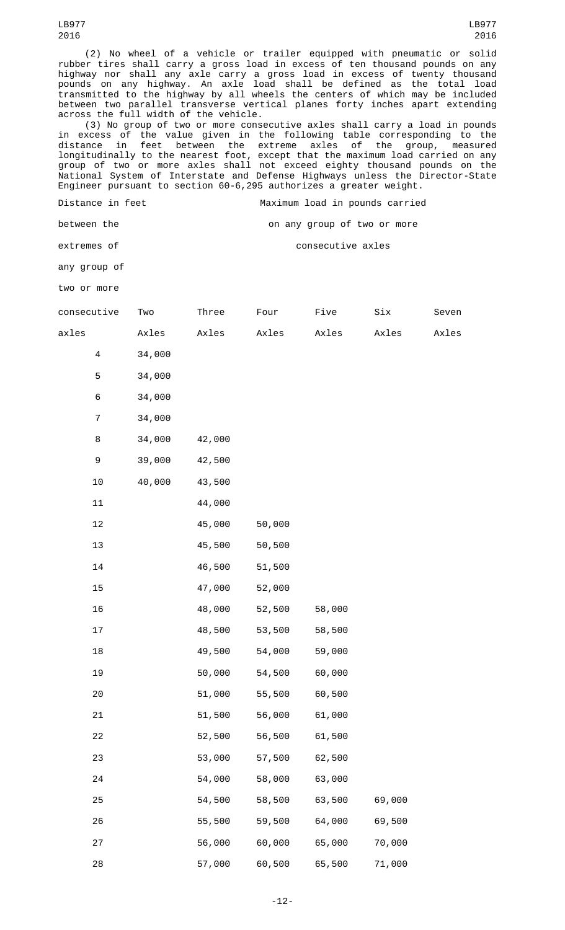(2) No wheel of a vehicle or trailer equipped with pneumatic or solid rubber tires shall carry a gross load in excess of ten thousand pounds on any highway nor shall any axle carry a gross load in excess of twenty thousand pounds on any highway. An axle load shall be defined as the total load transmitted to the highway by all wheels the centers of which may be included between two parallel transverse vertical planes forty inches apart extending across the full width of the vehicle.

(3) No group of two or more consecutive axles shall carry a load in pounds in excess of the value given in the following table corresponding to the distance in feet between the extreme axles of the group, measured longitudinally to the nearest foot, except that the maximum load carried on any group of two or more axles shall not exceed eighty thousand pounds on the National System of Interstate and Defense Highways unless the Director-State Engineer pursuant to section 60-6,295 authorizes a greater weight.

Distance in feet Maximum load in pounds carried

between the **between** the on any group of two or more

extremes of consecutive axles

any group of

two or more

| consecutive      | Two    | Three  | Four   | Five   | Six    | Seven |
|------------------|--------|--------|--------|--------|--------|-------|
| axles            | Axles  | Axles  | Axles  | Axles  | Axles  | Axles |
| $\overline{4}$   | 34,000 |        |        |        |        |       |
| $\mathbf 5$      | 34,000 |        |        |        |        |       |
| $\,6$            | 34,000 |        |        |        |        |       |
| $\overline{7}$   | 34,000 |        |        |        |        |       |
| 8                | 34,000 | 42,000 |        |        |        |       |
| $\boldsymbol{9}$ | 39,000 | 42,500 |        |        |        |       |
| $10$             | 40,000 | 43,500 |        |        |        |       |
| ${\bf 11}$       |        | 44,000 |        |        |        |       |
| 12               |        | 45,000 | 50,000 |        |        |       |
| 13               |        | 45,500 | 50,500 |        |        |       |
| 14               |        | 46,500 | 51,500 |        |        |       |
| 15               |        | 47,000 | 52,000 |        |        |       |
| 16               |        | 48,000 | 52,500 | 58,000 |        |       |
| 17               |        | 48,500 | 53,500 | 58,500 |        |       |
| 18               |        | 49,500 | 54,000 | 59,000 |        |       |
| 19               |        | 50,000 | 54,500 | 60,000 |        |       |
| 20               |        | 51,000 | 55,500 | 60,500 |        |       |
| 21               |        | 51,500 | 56,000 | 61,000 |        |       |
| 22               |        | 52,500 | 56,500 | 61,500 |        |       |
| 23               |        | 53,000 | 57,500 | 62,500 |        |       |
| 24               |        | 54,000 | 58,000 | 63,000 |        |       |
| 25               |        | 54,500 | 58,500 | 63,500 | 69,000 |       |
| 26               |        | 55,500 | 59,500 | 64,000 | 69,500 |       |
| 27               |        | 56,000 | 60,000 | 65,000 | 70,000 |       |
| 28               |        | 57,000 | 60,500 | 65,500 | 71,000 |       |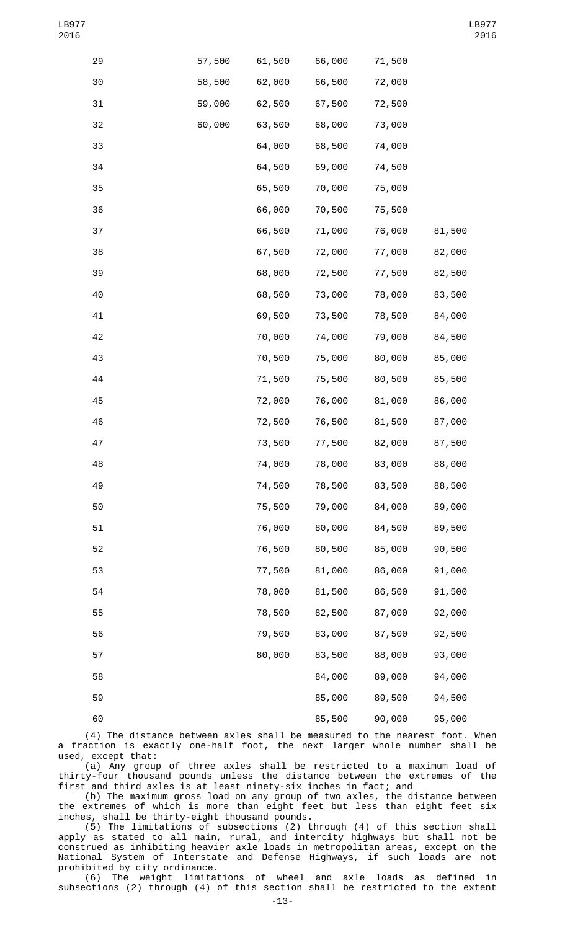| 29 | 57,500 | 61,500 | 66,000 | 71,500 |        |
|----|--------|--------|--------|--------|--------|
| 30 | 58,500 | 62,000 | 66,500 | 72,000 |        |
| 31 | 59,000 | 62,500 | 67,500 | 72,500 |        |
| 32 | 60,000 | 63,500 | 68,000 | 73,000 |        |
| 33 |        | 64,000 | 68,500 | 74,000 |        |
| 34 |        | 64,500 | 69,000 | 74,500 |        |
| 35 |        | 65,500 | 70,000 | 75,000 |        |
| 36 |        | 66,000 | 70,500 | 75,500 |        |
| 37 |        | 66,500 | 71,000 | 76,000 | 81,500 |
| 38 |        | 67,500 | 72,000 | 77,000 | 82,000 |
| 39 |        | 68,000 | 72,500 | 77,500 | 82,500 |
| 40 |        | 68,500 | 73,000 | 78,000 | 83,500 |
| 41 |        | 69,500 | 73,500 | 78,500 | 84,000 |
| 42 |        | 70,000 | 74,000 | 79,000 | 84,500 |
| 43 |        | 70,500 | 75,000 | 80,000 | 85,000 |
| 44 |        | 71,500 | 75,500 | 80,500 | 85,500 |
| 45 |        | 72,000 | 76,000 | 81,000 | 86,000 |
| 46 |        | 72,500 | 76,500 | 81,500 | 87,000 |
| 47 |        | 73,500 | 77,500 | 82,000 | 87,500 |
| 48 |        | 74,000 | 78,000 | 83,000 | 88,000 |
| 49 |        | 74,500 | 78,500 | 83,500 | 88,500 |
| 50 |        | 75,500 | 79,000 | 84,000 | 89,000 |
| 51 |        | 76,000 | 80,000 | 84,500 | 89,500 |
| 52 |        | 76,500 | 80,500 | 85,000 | 90,500 |
| 53 |        | 77,500 | 81,000 | 86,000 | 91,000 |
| 54 |        | 78,000 | 81,500 | 86,500 | 91,500 |
| 55 |        | 78,500 | 82,500 | 87,000 | 92,000 |
| 56 |        | 79,500 | 83,000 | 87,500 | 92,500 |
| 57 |        | 80,000 | 83,500 | 88,000 | 93,000 |
| 58 |        |        | 84,000 | 89,000 | 94,000 |
| 59 |        |        | 85,000 | 89,500 | 94,500 |
| 60 |        |        | 85,500 | 90,000 | 95,000 |

(4) The distance between axles shall be measured to the nearest foot. When a fraction is exactly one-half foot, the next larger whole number shall be used, except that:

(a) Any group of three axles shall be restricted to a maximum load of thirty-four thousand pounds unless the distance between the extremes of the first and third axles is at least ninety-six inches in fact; and

(b) The maximum gross load on any group of two axles, the distance between the extremes of which is more than eight feet but less than eight feet six inches, shall be thirty-eight thousand pounds.

(5) The limitations of subsections (2) through (4) of this section shall apply as stated to all main, rural, and intercity highways but shall not be construed as inhibiting heavier axle loads in metropolitan areas, except on the National System of Interstate and Defense Highways, if such loads are not prohibited by city ordinance.

(6) The weight limitations of wheel and axle loads as defined in subsections (2) through (4) of this section shall be restricted to the extent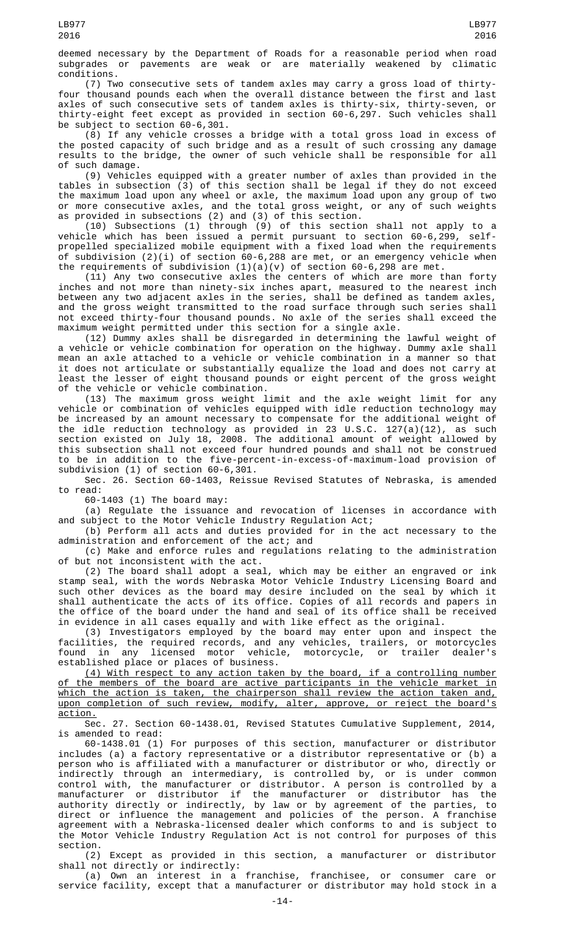deemed necessary by the Department of Roads for a reasonable period when road subgrades or pavements are weak or are materially weakened by climatic conditions.

(7) Two consecutive sets of tandem axles may carry a gross load of thirtyfour thousand pounds each when the overall distance between the first and last axles of such consecutive sets of tandem axles is thirty-six, thirty-seven, or thirty-eight feet except as provided in section 60-6,297. Such vehicles shall be subject to section 60-6,301.

(8) If any vehicle crosses a bridge with a total gross load in excess of the posted capacity of such bridge and as a result of such crossing any damage results to the bridge, the owner of such vehicle shall be responsible for all of such damage.

(9) Vehicles equipped with a greater number of axles than provided in the tables in subsection (3) of this section shall be legal if they do not exceed the maximum load upon any wheel or axle, the maximum load upon any group of two or more consecutive axles, and the total gross weight, or any of such weights as provided in subsections (2) and (3) of this section.

(10) Subsections (1) through (9) of this section shall not apply to a vehicle which has been issued a permit pursuant to section 60-6,299, selfpropelled specialized mobile equipment with a fixed load when the requirements of subdivision (2)(i) of section 60-6,288 are met, or an emergency vehicle when the requirements of subdivision  $(1)(a)(v)$  of section 60-6,298 are met.

(11) Any two consecutive axles the centers of which are more than forty inches and not more than ninety-six inches apart, measured to the nearest inch between any two adjacent axles in the series, shall be defined as tandem axles, and the gross weight transmitted to the road surface through such series shall not exceed thirty-four thousand pounds. No axle of the series shall exceed the maximum weight permitted under this section for a single axle.

(12) Dummy axles shall be disregarded in determining the lawful weight of a vehicle or vehicle combination for operation on the highway. Dummy axle shall mean an axle attached to a vehicle or vehicle combination in a manner so that it does not articulate or substantially equalize the load and does not carry at least the lesser of eight thousand pounds or eight percent of the gross weight of the vehicle or vehicle combination.

(13) The maximum gross weight limit and the axle weight limit for any vehicle or combination of vehicles equipped with idle reduction technology may be increased by an amount necessary to compensate for the additional weight of the idle reduction technology as provided in 23 U.S.C. 127(a)(12), as such section existed on July 18, 2008. The additional amount of weight allowed by this subsection shall not exceed four hundred pounds and shall not be construed to be in addition to the five-percent-in-excess-of-maximum-load provision of subdivision (1) of section 60-6,301.

Sec. 26. Section 60-1403, Reissue Revised Statutes of Nebraska, is amended to read:

60-1403 (1) The board may:

(a) Regulate the issuance and revocation of licenses in accordance with and subject to the Motor Vehicle Industry Regulation Act;

(b) Perform all acts and duties provided for in the act necessary to the administration and enforcement of the act; and

(c) Make and enforce rules and regulations relating to the administration of but not inconsistent with the act.

(2) The board shall adopt a seal, which may be either an engraved or ink stamp seal, with the words Nebraska Motor Vehicle Industry Licensing Board and such other devices as the board may desire included on the seal by which it shall authenticate the acts of its office. Copies of all records and papers in the office of the board under the hand and seal of its office shall be received in evidence in all cases equally and with like effect as the original.

(3) Investigators employed by the board may enter upon and inspect the facilities, the required records, and any vehicles, trailers, or motorcycles found in any licensed motor vehicle, motorcycle, or trailer dealer's established place or places of business.

(4) With respect to any action taken by the board, if a controlling number of the members of the board are active participants in the vehicle market in which the action is taken, the chairperson shall review the action taken and, upon completion of such review, modify, alter, approve, or reject the board's action.

Sec. 27. Section 60-1438.01, Revised Statutes Cumulative Supplement, 2014, is amended to read:

60-1438.01 (1) For purposes of this section, manufacturer or distributor includes (a) a factory representative or a distributor representative or (b) a person who is affiliated with a manufacturer or distributor or who, directly or indirectly through an intermediary, is controlled by, or is under common control with, the manufacturer or distributor. A person is controlled by a manufacturer or distributor if the manufacturer or distributor has the authority directly or indirectly, by law or by agreement of the parties, to direct or influence the management and policies of the person. A franchise agreement with a Nebraska-licensed dealer which conforms to and is subject to the Motor Vehicle Industry Regulation Act is not control for purposes of this section.

(2) Except as provided in this section, a manufacturer or distributor shall not directly or indirectly:

(a) Own an interest in a franchise, franchisee, or consumer care or service facility, except that a manufacturer or distributor may hold stock in a